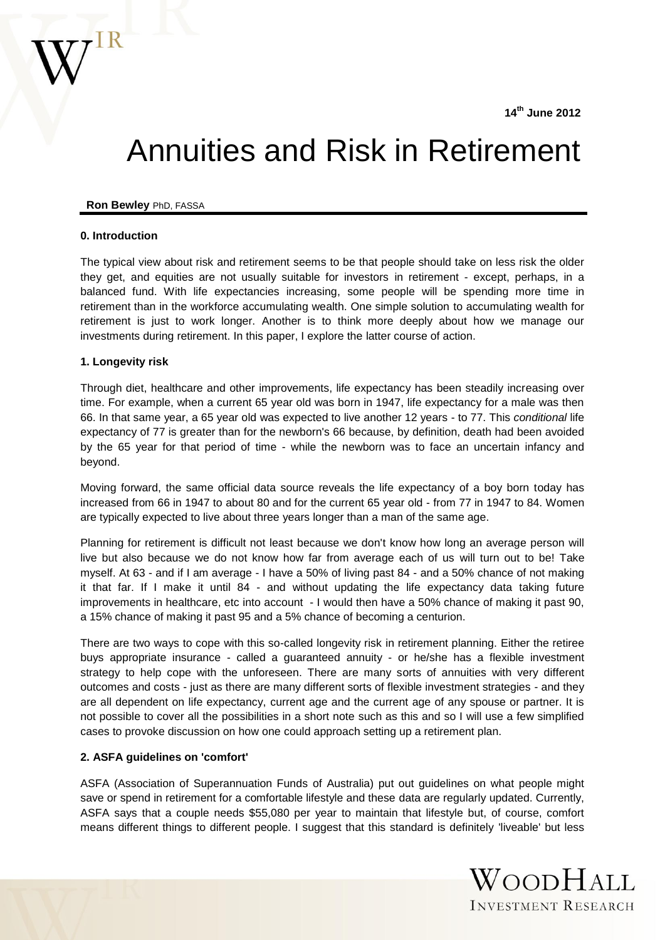

# Annuities and Risk in Retirement

#### **Ron Bewley** PhD, FASSA

#### **0. Introduction**

The typical view about risk and retirement seems to be that people should take on less risk the older they get, and equities are not usually suitable for investors in retirement - except, perhaps, in a balanced fund. With life expectancies increasing, some people will be spending more time in retirement than in the workforce accumulating wealth. One simple solution to accumulating wealth for retirement is just to work longer. Another is to think more deeply about how we manage our investments during retirement. In this paper, I explore the latter course of action.

#### **1. Longevity risk**

Through diet, healthcare and other improvements, life expectancy has been steadily increasing over time. For example, when a current 65 year old was born in 1947, life expectancy for a male was then 66. In that same year, a 65 year old was expected to live another 12 years - to 77. This *conditional* life expectancy of 77 is greater than for the newborn's 66 because, by definition, death had been avoided by the 65 year for that period of time - while the newborn was to face an uncertain infancy and beyond.

Moving forward, the same official data source reveals the life expectancy of a boy born today has increased from 66 in 1947 to about 80 and for the current 65 year old - from 77 in 1947 to 84. Women are typically expected to live about three years longer than a man of the same age.

Planning for retirement is difficult not least because we don't know how long an average person will live but also because we do not know how far from average each of us will turn out to be! Take myself. At 63 - and if I am average - I have a 50% of living past 84 - and a 50% chance of not making it that far. If I make it until 84 - and without updating the life expectancy data taking future improvements in healthcare, etc into account - I would then have a 50% chance of making it past 90, a 15% chance of making it past 95 and a 5% chance of becoming a centurion.

There are two ways to cope with this so-called longevity risk in retirement planning. Either the retiree buys appropriate insurance - called a guaranteed annuity - or he/she has a flexible investment strategy to help cope with the unforeseen. There are many sorts of annuities with very different outcomes and costs - just as there are many different sorts of flexible investment strategies - and they are all dependent on life expectancy, current age and the current age of any spouse or partner. It is not possible to cover all the possibilities in a short note such as this and so I will use a few simplified cases to provoke discussion on how one could approach setting up a retirement plan.

## **2. ASFA guidelines on 'comfort'**

ASFA (Association of Superannuation Funds of Australia) put out guidelines on what people might save or spend in retirement for a comfortable lifestyle and these data are regularly updated. Currently, ASFA says that a couple needs \$55,080 per year to maintain that lifestyle but, of course, comfort means different things to different people. I suggest that this standard is definitely 'liveable' but less

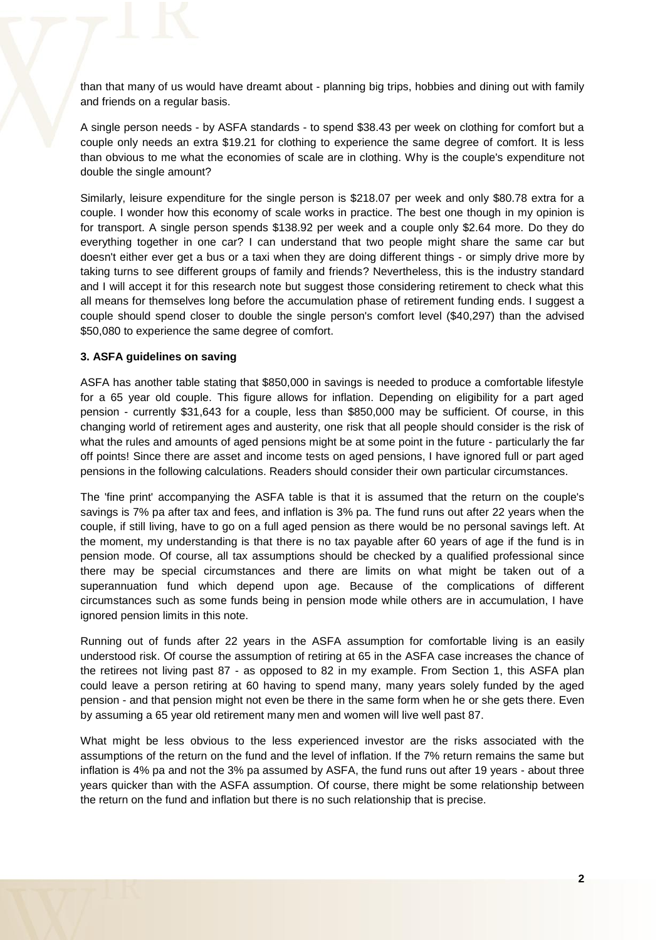than that many of us would have dreamt about - planning big trips, hobbies and dining out with family and friends on a regular basis.

A single person needs - by ASFA standards - to spend \$38.43 per week on clothing for comfort but a couple only needs an extra \$19.21 for clothing to experience the same degree of comfort. It is less than obvious to me what the economies of scale are in clothing. Why is the couple's expenditure not double the single amount?

Similarly, leisure expenditure for the single person is \$218.07 per week and only \$80.78 extra for a couple. I wonder how this economy of scale works in practice. The best one though in my opinion is for transport. A single person spends \$138.92 per week and a couple only \$2.64 more. Do they do everything together in one car? I can understand that two people might share the same car but doesn't either ever get a bus or a taxi when they are doing different things - or simply drive more by taking turns to see different groups of family and friends? Nevertheless, this is the industry standard and I will accept it for this research note but suggest those considering retirement to check what this all means for themselves long before the accumulation phase of retirement funding ends. I suggest a couple should spend closer to double the single person's comfort level (\$40,297) than the advised \$50,080 to experience the same degree of comfort.

#### **3. ASFA guidelines on saving**

ASFA has another table stating that \$850,000 in savings is needed to produce a comfortable lifestyle for a 65 year old couple. This figure allows for inflation. Depending on eligibility for a part aged pension - currently \$31,643 for a couple, less than \$850,000 may be sufficient. Of course, in this changing world of retirement ages and austerity, one risk that all people should consider is the risk of what the rules and amounts of aged pensions might be at some point in the future - particularly the far off points! Since there are asset and income tests on aged pensions, I have ignored full or part aged pensions in the following calculations. Readers should consider their own particular circumstances.

The 'fine print' accompanying the ASFA table is that it is assumed that the return on the couple's savings is 7% pa after tax and fees, and inflation is 3% pa. The fund runs out after 22 years when the couple, if still living, have to go on a full aged pension as there would be no personal savings left. At the moment, my understanding is that there is no tax payable after 60 years of age if the fund is in pension mode. Of course, all tax assumptions should be checked by a qualified professional since there may be special circumstances and there are limits on what might be taken out of a superannuation fund which depend upon age. Because of the complications of different circumstances such as some funds being in pension mode while others are in accumulation, I have ignored pension limits in this note.

Running out of funds after 22 years in the ASFA assumption for comfortable living is an easily understood risk. Of course the assumption of retiring at 65 in the ASFA case increases the chance of the retirees not living past 87 - as opposed to 82 in my example. From Section 1, this ASFA plan could leave a person retiring at 60 having to spend many, many years solely funded by the aged pension - and that pension might not even be there in the same form when he or she gets there. Even by assuming a 65 year old retirement many men and women will live well past 87.

What might be less obvious to the less experienced investor are the risks associated with the assumptions of the return on the fund and the level of inflation. If the 7% return remains the same but inflation is 4% pa and not the 3% pa assumed by ASFA, the fund runs out after 19 years - about three years quicker than with the ASFA assumption. Of course, there might be some relationship between the return on the fund and inflation but there is no such relationship that is precise.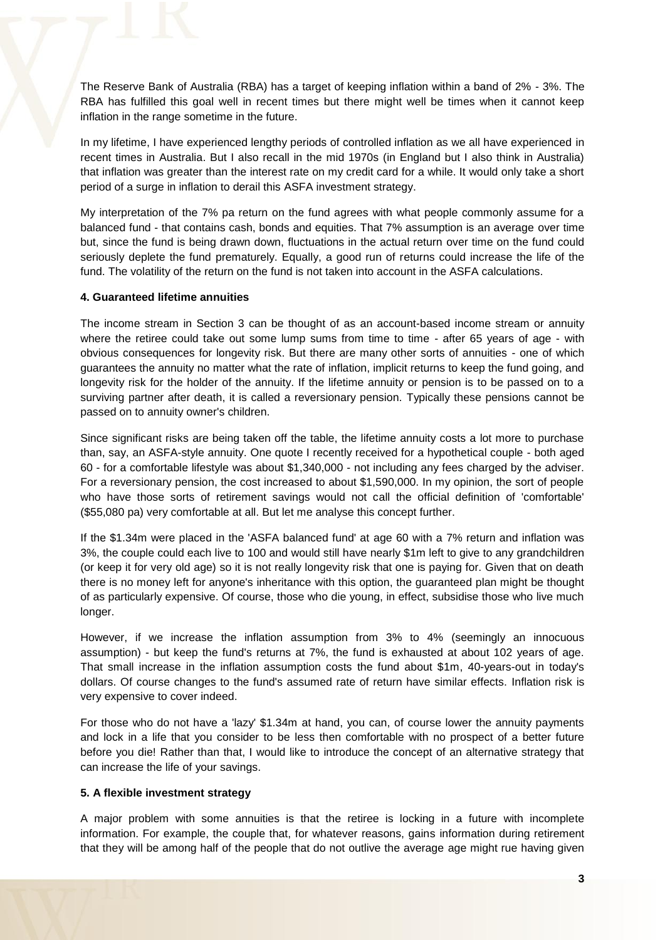The Reserve Bank of Australia (RBA) has a target of keeping inflation within a band of 2% - 3%. The RBA has fulfilled this goal well in recent times but there might well be times when it cannot keep inflation in the range sometime in the future.

In my lifetime, I have experienced lengthy periods of controlled inflation as we all have experienced in recent times in Australia. But I also recall in the mid 1970s (in England but I also think in Australia) that inflation was greater than the interest rate on my credit card for a while. It would only take a short period of a surge in inflation to derail this ASFA investment strategy.

My interpretation of the 7% pa return on the fund agrees with what people commonly assume for a balanced fund - that contains cash, bonds and equities. That 7% assumption is an average over time but, since the fund is being drawn down, fluctuations in the actual return over time on the fund could seriously deplete the fund prematurely. Equally, a good run of returns could increase the life of the fund. The volatility of the return on the fund is not taken into account in the ASFA calculations.

#### **4. Guaranteed lifetime annuities**

The income stream in Section 3 can be thought of as an account-based income stream or annuity where the retiree could take out some lump sums from time to time - after 65 years of age - with obvious consequences for longevity risk. But there are many other sorts of annuities - one of which guarantees the annuity no matter what the rate of inflation, implicit returns to keep the fund going, and longevity risk for the holder of the annuity. If the lifetime annuity or pension is to be passed on to a surviving partner after death, it is called a reversionary pension. Typically these pensions cannot be passed on to annuity owner's children.

Since significant risks are being taken off the table, the lifetime annuity costs a lot more to purchase than, say, an ASFA-style annuity. One quote I recently received for a hypothetical couple - both aged 60 - for a comfortable lifestyle was about \$1,340,000 - not including any fees charged by the adviser. For a reversionary pension, the cost increased to about \$1,590,000. In my opinion, the sort of people who have those sorts of retirement savings would not call the official definition of 'comfortable' (\$55,080 pa) very comfortable at all. But let me analyse this concept further.

If the \$1.34m were placed in the 'ASFA balanced fund' at age 60 with a 7% return and inflation was 3%, the couple could each live to 100 and would still have nearly \$1m left to give to any grandchildren (or keep it for very old age) so it is not really longevity risk that one is paying for. Given that on death there is no money left for anyone's inheritance with this option, the guaranteed plan might be thought of as particularly expensive. Of course, those who die young, in effect, subsidise those who live much longer.

However, if we increase the inflation assumption from 3% to 4% (seemingly an innocuous assumption) - but keep the fund's returns at 7%, the fund is exhausted at about 102 years of age. That small increase in the inflation assumption costs the fund about \$1m, 40-years-out in today's dollars. Of course changes to the fund's assumed rate of return have similar effects. Inflation risk is very expensive to cover indeed.

For those who do not have a 'lazy' \$1.34m at hand, you can, of course lower the annuity payments and lock in a life that you consider to be less then comfortable with no prospect of a better future before you die! Rather than that, I would like to introduce the concept of an alternative strategy that can increase the life of your savings.

#### **5. A flexible investment strategy**

A major problem with some annuities is that the retiree is locking in a future with incomplete information. For example, the couple that, for whatever reasons, gains information during retirement that they will be among half of the people that do not outlive the average age might rue having given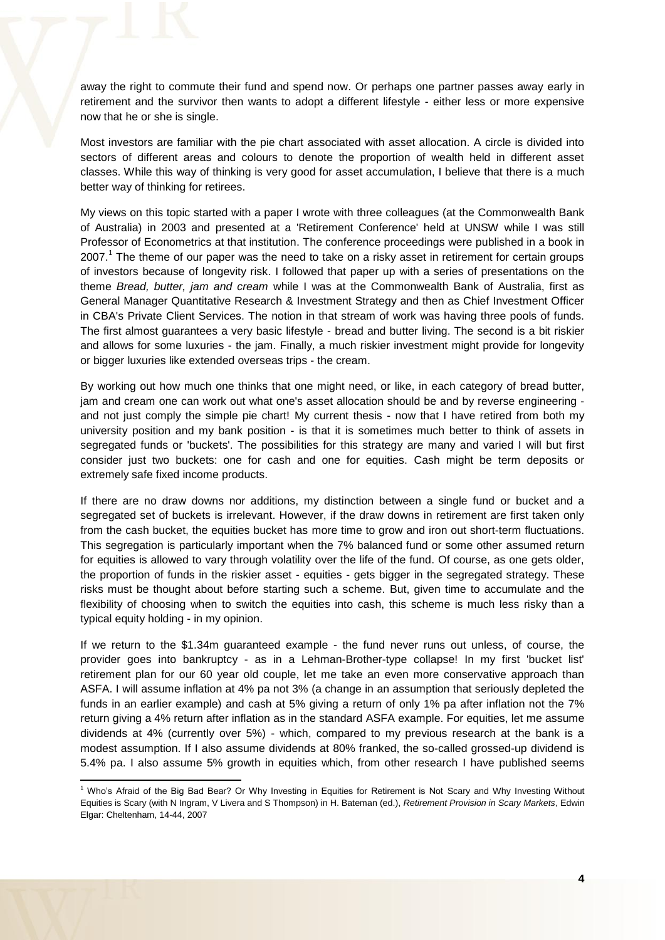away the right to commute their fund and spend now. Or perhaps one partner passes away early in retirement and the survivor then wants to adopt a different lifestyle - either less or more expensive now that he or she is single.

Most investors are familiar with the pie chart associated with asset allocation. A circle is divided into sectors of different areas and colours to denote the proportion of wealth held in different asset classes. While this way of thinking is very good for asset accumulation, I believe that there is a much better way of thinking for retirees.

My views on this topic started with a paper I wrote with three colleagues (at the Commonwealth Bank of Australia) in 2003 and presented at a 'Retirement Conference' held at UNSW while I was still Professor of Econometrics at that institution. The conference proceedings were published in a book in 2007.<sup>1</sup> The theme of our paper was the need to take on a risky asset in retirement for certain groups of investors because of longevity risk. I followed that paper up with a series of presentations on the theme *Bread, butter, jam and cream* while I was at the Commonwealth Bank of Australia, first as General Manager Quantitative Research & Investment Strategy and then as Chief Investment Officer in CBA's Private Client Services. The notion in that stream of work was having three pools of funds. The first almost guarantees a very basic lifestyle - bread and butter living. The second is a bit riskier and allows for some luxuries - the jam. Finally, a much riskier investment might provide for longevity or bigger luxuries like extended overseas trips - the cream.

By working out how much one thinks that one might need, or like, in each category of bread butter, jam and cream one can work out what one's asset allocation should be and by reverse engineering and not just comply the simple pie chart! My current thesis - now that I have retired from both my university position and my bank position - is that it is sometimes much better to think of assets in segregated funds or 'buckets'. The possibilities for this strategy are many and varied I will but first consider just two buckets: one for cash and one for equities. Cash might be term deposits or extremely safe fixed income products.

If there are no draw downs nor additions, my distinction between a single fund or bucket and a segregated set of buckets is irrelevant. However, if the draw downs in retirement are first taken only from the cash bucket, the equities bucket has more time to grow and iron out short-term fluctuations. This segregation is particularly important when the 7% balanced fund or some other assumed return for equities is allowed to vary through volatility over the life of the fund. Of course, as one gets older, the proportion of funds in the riskier asset - equities - gets bigger in the segregated strategy. These risks must be thought about before starting such a scheme. But, given time to accumulate and the flexibility of choosing when to switch the equities into cash, this scheme is much less risky than a typical equity holding - in my opinion.

If we return to the \$1.34m guaranteed example - the fund never runs out unless, of course, the provider goes into bankruptcy - as in a Lehman-Brother-type collapse! In my first 'bucket list' retirement plan for our 60 year old couple, let me take an even more conservative approach than ASFA. I will assume inflation at 4% pa not 3% (a change in an assumption that seriously depleted the funds in an earlier example) and cash at 5% giving a return of only 1% pa after inflation not the 7% return giving a 4% return after inflation as in the standard ASFA example. For equities, let me assume dividends at 4% (currently over 5%) - which, compared to my previous research at the bank is a modest assumption. If I also assume dividends at 80% franked, the so-called grossed-up dividend is 5.4% pa. I also assume 5% growth in equities which, from other research I have published seems

**.** 

<sup>&</sup>lt;sup>1</sup> Who's Afraid of the Big Bad Bear? Or Why Investing in Equities for Retirement is Not Scary and Why Investing Without Equities is Scary (with N Ingram, V Livera and S Thompson) in H. Bateman (ed.), *Retirement Provision in Scary Markets*, Edwin Elgar: Cheltenham, 14-44, 2007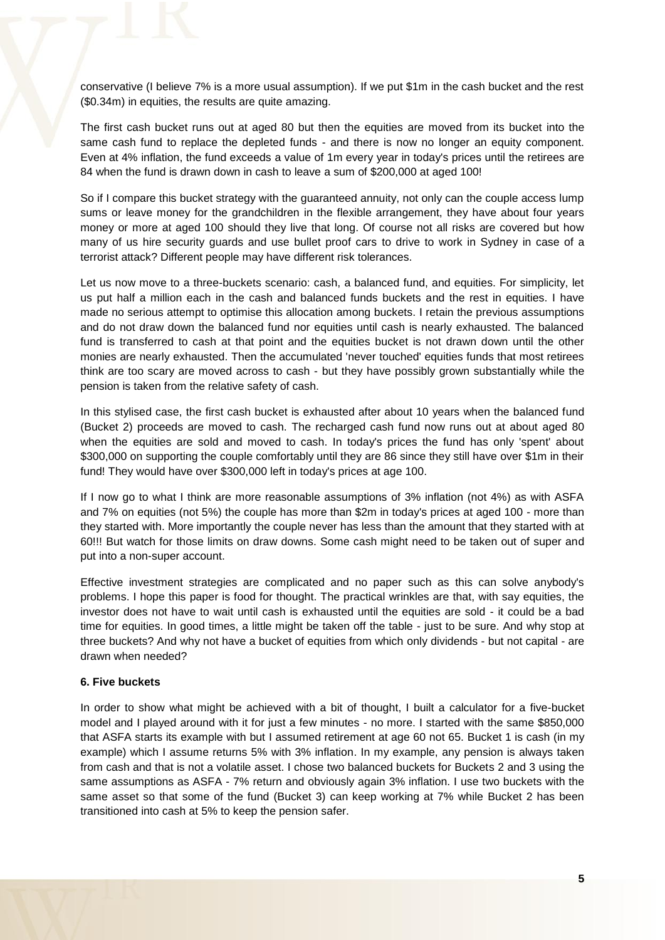conservative (I believe 7% is a more usual assumption). If we put \$1m in the cash bucket and the rest (\$0.34m) in equities, the results are quite amazing.

The first cash bucket runs out at aged 80 but then the equities are moved from its bucket into the same cash fund to replace the depleted funds - and there is now no longer an equity component. Even at 4% inflation, the fund exceeds a value of 1m every year in today's prices until the retirees are 84 when the fund is drawn down in cash to leave a sum of \$200,000 at aged 100!

So if I compare this bucket strategy with the guaranteed annuity, not only can the couple access lump sums or leave money for the grandchildren in the flexible arrangement, they have about four years money or more at aged 100 should they live that long. Of course not all risks are covered but how many of us hire security guards and use bullet proof cars to drive to work in Sydney in case of a terrorist attack? Different people may have different risk tolerances.

Let us now move to a three-buckets scenario: cash, a balanced fund, and equities. For simplicity, let us put half a million each in the cash and balanced funds buckets and the rest in equities. I have made no serious attempt to optimise this allocation among buckets. I retain the previous assumptions and do not draw down the balanced fund nor equities until cash is nearly exhausted. The balanced fund is transferred to cash at that point and the equities bucket is not drawn down until the other monies are nearly exhausted. Then the accumulated 'never touched' equities funds that most retirees think are too scary are moved across to cash - but they have possibly grown substantially while the pension is taken from the relative safety of cash.

In this stylised case, the first cash bucket is exhausted after about 10 years when the balanced fund (Bucket 2) proceeds are moved to cash. The recharged cash fund now runs out at about aged 80 when the equities are sold and moved to cash. In today's prices the fund has only 'spent' about \$300,000 on supporting the couple comfortably until they are 86 since they still have over \$1m in their fund! They would have over \$300,000 left in today's prices at age 100.

If I now go to what I think are more reasonable assumptions of 3% inflation (not 4%) as with ASFA and 7% on equities (not 5%) the couple has more than \$2m in today's prices at aged 100 - more than they started with. More importantly the couple never has less than the amount that they started with at 60!!! But watch for those limits on draw downs. Some cash might need to be taken out of super and put into a non-super account.

Effective investment strategies are complicated and no paper such as this can solve anybody's problems. I hope this paper is food for thought. The practical wrinkles are that, with say equities, the investor does not have to wait until cash is exhausted until the equities are sold - it could be a bad time for equities. In good times, a little might be taken off the table - just to be sure. And why stop at three buckets? And why not have a bucket of equities from which only dividends - but not capital - are drawn when needed?

#### **6. Five buckets**

In order to show what might be achieved with a bit of thought, I built a calculator for a five-bucket model and I played around with it for just a few minutes - no more. I started with the same \$850,000 that ASFA starts its example with but I assumed retirement at age 60 not 65. Bucket 1 is cash (in my example) which I assume returns 5% with 3% inflation. In my example, any pension is always taken from cash and that is not a volatile asset. I chose two balanced buckets for Buckets 2 and 3 using the same assumptions as ASFA - 7% return and obviously again 3% inflation. I use two buckets with the same asset so that some of the fund (Bucket 3) can keep working at 7% while Bucket 2 has been transitioned into cash at 5% to keep the pension safer.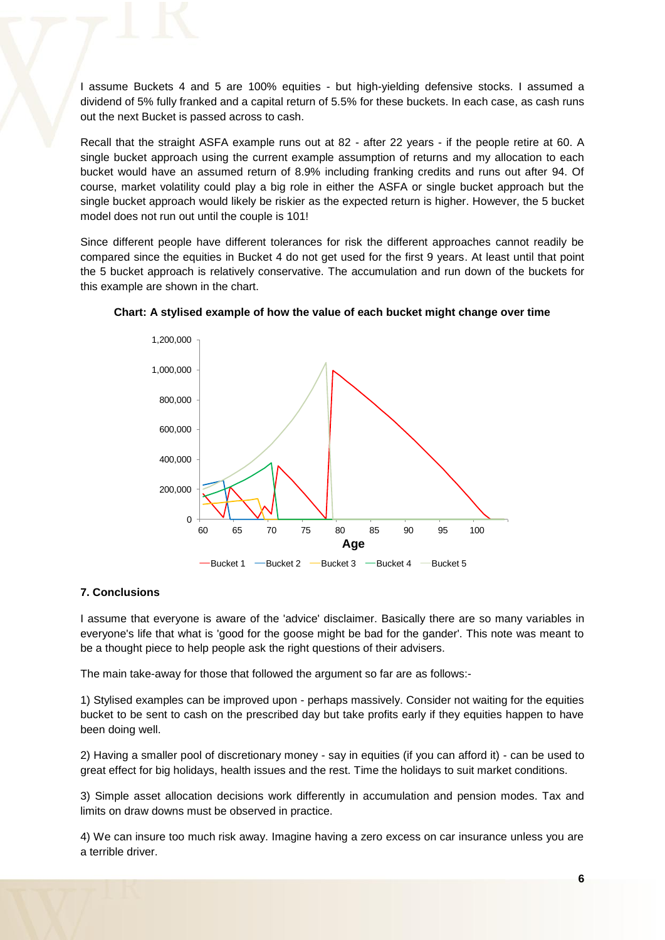I assume Buckets 4 and 5 are 100% equities - but high-yielding defensive stocks. I assumed a dividend of 5% fully franked and a capital return of 5.5% for these buckets. In each case, as cash runs out the next Bucket is passed across to cash.

Recall that the straight ASFA example runs out at 82 - after 22 years - if the people retire at 60. A single bucket approach using the current example assumption of returns and my allocation to each bucket would have an assumed return of 8.9% including franking credits and runs out after 94. Of course, market volatility could play a big role in either the ASFA or single bucket approach but the single bucket approach would likely be riskier as the expected return is higher. However, the 5 bucket model does not run out until the couple is 101!

Since different people have different tolerances for risk the different approaches cannot readily be compared since the equities in Bucket 4 do not get used for the first 9 years. At least until that point the 5 bucket approach is relatively conservative. The accumulation and run down of the buckets for this example are shown in the chart.



**Chart: A stylised example of how the value of each bucket might change over time**

### **7. Conclusions**

I assume that everyone is aware of the 'advice' disclaimer. Basically there are so many variables in everyone's life that what is 'good for the goose might be bad for the gander'. This note was meant to be a thought piece to help people ask the right questions of their advisers.

The main take-away for those that followed the argument so far are as follows:-

1) Stylised examples can be improved upon - perhaps massively. Consider not waiting for the equities bucket to be sent to cash on the prescribed day but take profits early if they equities happen to have been doing well.

2) Having a smaller pool of discretionary money - say in equities (if you can afford it) - can be used to great effect for big holidays, health issues and the rest. Time the holidays to suit market conditions.

3) Simple asset allocation decisions work differently in accumulation and pension modes. Tax and limits on draw downs must be observed in practice.

4) We can insure too much risk away. Imagine having a zero excess on car insurance unless you are a terrible driver.